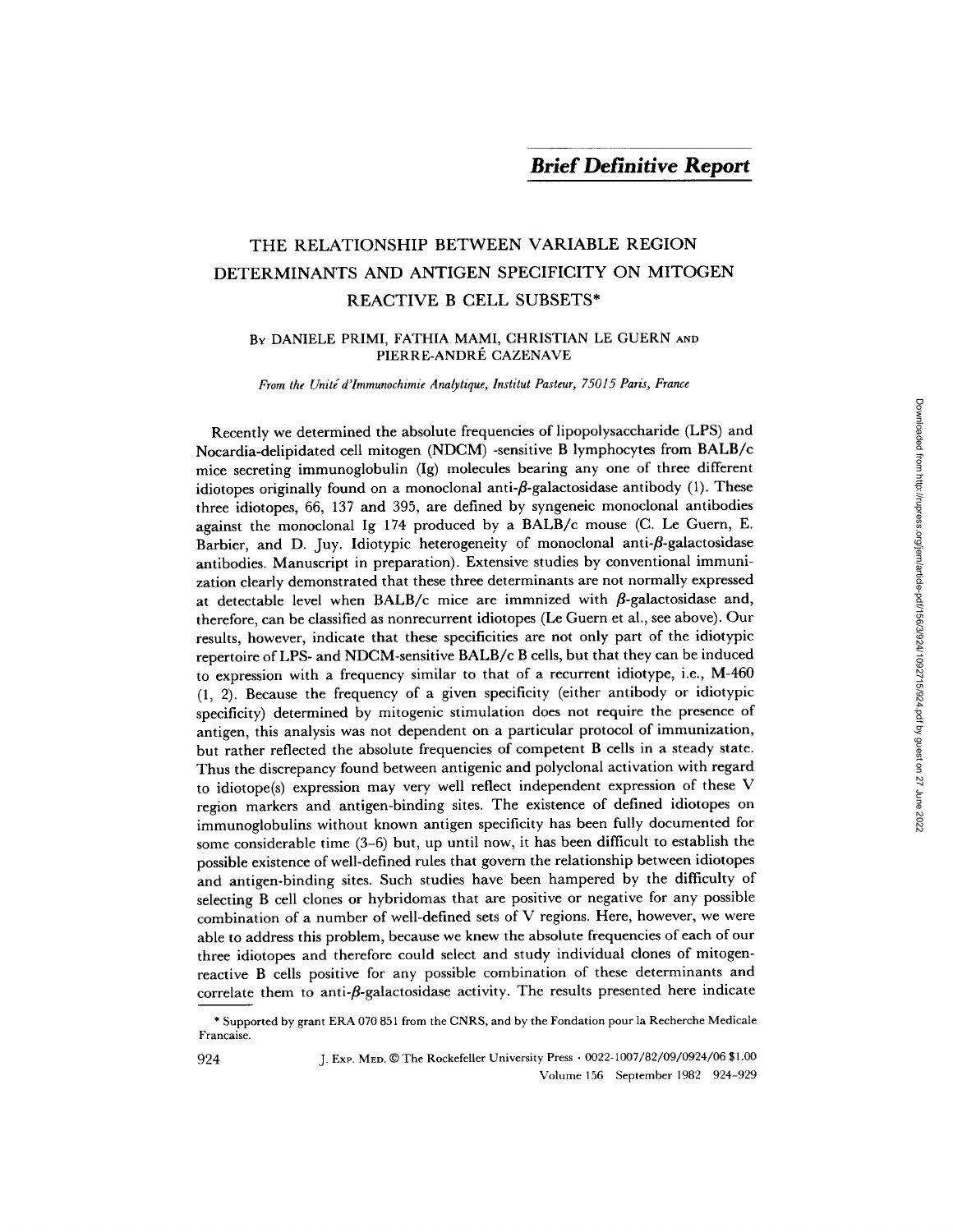# THE RELATIONSHIP BETWEEN VARIABLE REGION DETERMINANTS AND ANTIGEN SPECIFICITY ON MITOGEN REACTIVE B CELL SUBSETS\*

#### BY DANIELE PRIMI, FATHIA MAMI, CHRISTIAN LE GUERN AND PIERRE-ANDRÉ CAZENAVE

*From the Unitg d'Immunochimie Analytique, Institut Pasteur, 75015 Paris, France* 

Recently we determined the absolute frequencies of lipopolysaccharide (LPS) and Nocardia-delipidated cell mitogen (NDCM) -sensitive B lymphocytes from BALB/c mice secreting immunoglobulin (Ig) molecules bearing any one of three different idiotopes originally found on a monoclonal anti- $\beta$ -galactosidase antibody (1). These three idiotopes, 66, 137 and 395, are defined by syngeneic monoclonal antibodies against the monoclonal Ig 174 produced by a BALB/c mouse (C. Le Guern, E. Barbier, and D. Juy. Idiotypic heterogeneity of monoclonal anti- $\beta$ -galactosidase antibodies. Manuscript in preparation). Extensive studies by conventional immunization clearly demonstrated that these three determinants are not normally expressed at detectable level when BALB/c mice are immnized with  $\beta$ -galactosidase and, therefore, can be classified as nonrecurrent idiotopes (Le Guern et al., see above). Our results, however, indicate that these specificities are not only part of the idiotypic repertoire of LPS- and NDCM-sensitive BALB/c B cells, but that they can be induced to expression with a frequency similar to that of a recurrent idiotype, i.e., M-460 (1, 2). Because the frequency of a given specificity (either antibody or idiotypic specificity) determined by mitogenic stimulation does not require the presence of antigen, this analysis was not dependent on a particular protocol of immunization, but rather reflected the absolute frequencies of competent B cells in a steady state. Thus the discrepancy found between antigenic and polyclonal activation with regard to idiotope(s) expression may very well reflect independent expression of these V region markers and antigen-binding sites. The existence of defined idiotopes on immunoglobulins without known antigen specificity has been fully documented for some considerable time (3-6) but, up until now, it has been difficult to establish the possible existence of well-defined rules that govern the relationship between idiotopes and antigen-binding sites. Such studies have been hampered by the difficulty of selecting B cell clones or hybridomas that are positive or negative for any possible combination of a number of well-defined sets of V regions. Here, however, we were able to address this problem, because we knew the absolute frequencies of each of our three idiotopes and therefore could select and study individual clones of mitogenreactive B cells positive for any possible combination of these determinants and correlate them to anti- $\beta$ -galactosidase activity. The results presented here indicate

<sup>\*</sup> Supported by grant ERA 070 851 from the CNRS, and by the Fondation pour la Recherche Medicale Francaise.

<sup>924</sup> J. Exp. MED. 0 The Rockefeller University Press • 0022-1007/82/09/0924/06 \$1.00 Volume 156 September 1982 924-929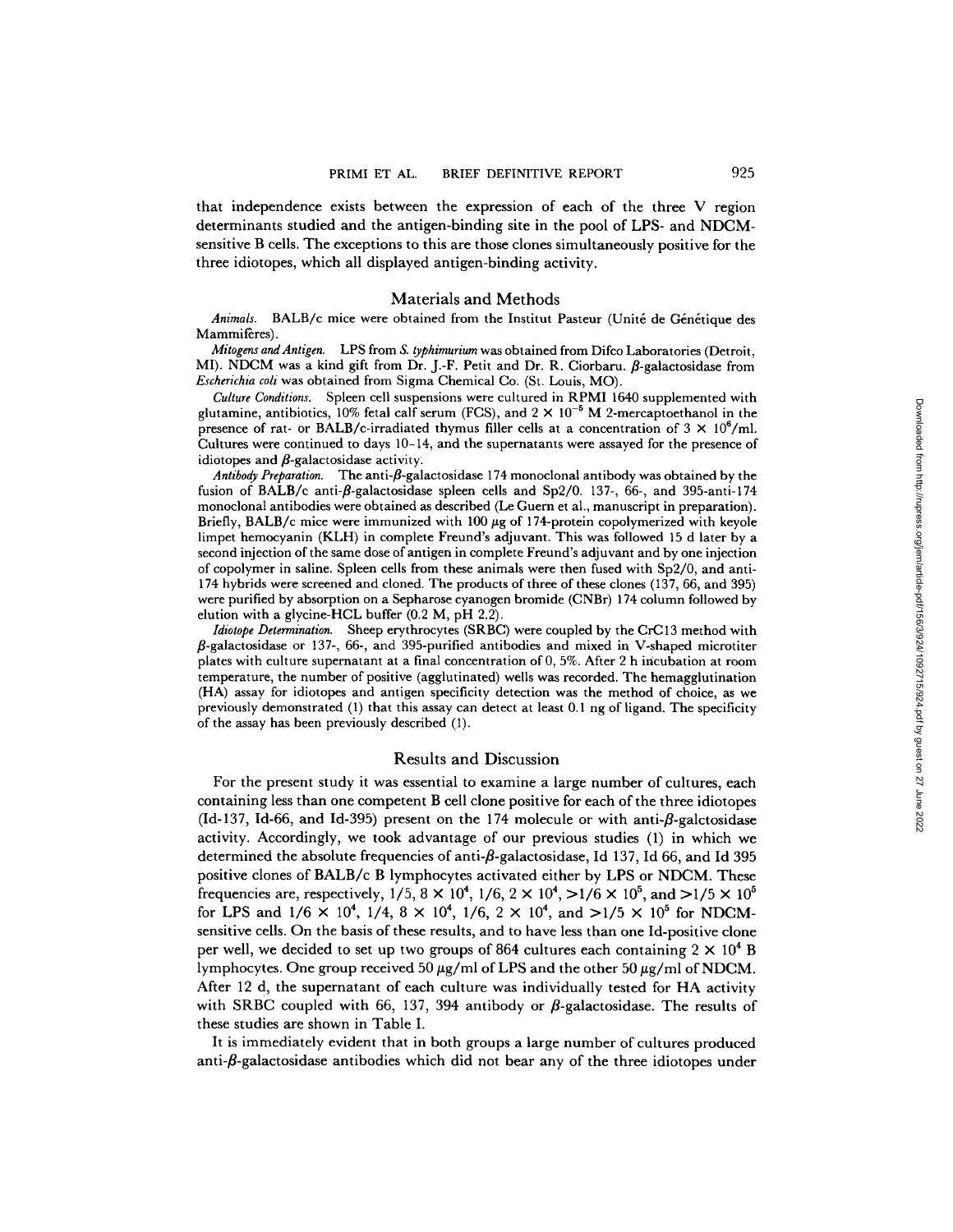that independence exists between the expression of each of the three V region determinants studied and the antigen-binding site in the pool of LPS- and NDCMsensitive B cells. The exceptions to this are those clones simultaneously positive for the three idiotopes, which all displayed antigen-binding activity.

# Materials and Methods

Animals. BALB/c mice were obtained from the Institut Pasteur (Unité de Génétique des Mammiferes).

*Mitogens and Antigen.* LPS from *S. typhimurium* was obtained from Difco Laboratories (Detroit, MI). NDCM was a kind gift from Dr. J.-F. Petit and Dr. R. Ciorbaru.  $\beta$ -galactosidase from *Escherichia coli* was obtained from Sigma Chemical Co. (St. Louis, MO).

*Culture Conditions.* Spleen cell suspensions were cultured in RPMI 1640 supplemented with glutamine, antibiotics, 10% fetal calf serum (FCS), and  $2 \times 10^{-5}$  M 2-mercaptoethanol in the presence of rat- or BALB/c-irradiated thymus filler cells at a concentration of  $3 \times 10^6$ /ml. Cultures were continued to days 10-14, and the supernatants were assayed for the presence of idiotopes and  $\beta$ -galactosidase activity.

Antibody Preparation. The anti-*ß*-galactosidase 174 monoclonal antibody was obtained by the fusion of BALB/c anti- $\beta$ -galactosidase spleen cells and Sp2/0. 137-, 66-, and 395-anti-174 monoclonal antibodies were obtained as described (Le Guern et al., manuscript in preparation). Briefly, BALB/c mice were immunized with  $100~\mu$ g of 174-protein copolymerized with keyole limpet hemocyanin (KLH) in complete Freund's adjuvant. This was followed 15 d later by a second injection of the same dose of antigen in complete Freund's adjuvant and by one injection of copolymer in saline. Spleen cells from these animals were then fused with Sp2/0, and anti-174 hybrids were screened and cloned. The products of three of these clones (137, 66, and 395) were purified by absorption on a Sepharose cyanogen bromide (CNBr) 174 column followed by elution with a glycine-HCL buffer (0.2 M, pH 2.2).

*Idiotope Determination.* Sheep erythrocytes (SRBC) were coupled by the CrC13 method with  $\beta$ -galactosidase or 137-, 66-, and 395-purified antibodies and mixed in V-shaped microtiter plates with culture supernatant at a final concentration of 0, 5%. After 2 h iricubation at room temperature, the number of positive (agglutinated) wells was recorded. The hemagglutination (HA) assay for idiotopes and antigen specificity detection was the method of choice, as we previously demonstrated (1) that this assay can detect at least 0.1 ng of ligand. The specificity of the assay has been previously described (1).

#### Results and Discussion

For the present study it was essential to examine a large number of cultures, each containing less than one competent B cell clone positive for each of the three idiotopes (Id-137, Id-66, and Id-395) present on the 174 molecule or with anti- $\beta$ -galctosidase activity. Accordingly, we took advantage of our previous studies (1) in which we determined the absolute frequencies of anti- $\beta$ -galactosidase, Id 137, Id 66, and Id 395 positive clones of BALB/c B lymphocytes activated either by LPS or NDCM. These frequencies are, respectively,  $1/5$ ,  $8 \times 10^4$ ,  $1/6$ ,  $2 \times 10^4$ ,  $>1/6 \times 10^5$ , and  $>1/5 \times 10^5$ for LPS and  $1/6 \times 10^4$ ,  $1/4$ ,  $8 \times 10^4$ ,  $1/6$ ,  $2 \times 10^4$ , and  $>1/5 \times 10^5$  for NDCMsensitive cells. On the basis of these results, and to have less than one Id-positive clone per well, we decided to set up two groups of 864 cultures each containing  $2 \times 10^4$  B lymphocytes. One group received 50  $\mu$ g/ml of LPS and the other 50  $\mu$ g/ml of NDCM. After 12 d, the supernatant of each culture was individually tested for HA activity with SRBC coupled with 66, 137, 394 antibody or  $\beta$ -galactosidase. The results of these studies are shown in Table I.

It is immediately evident that in both groups a large number of cultures produced anti- $\beta$ -galactosidase antibodies which did not bear any of the three idiotopes under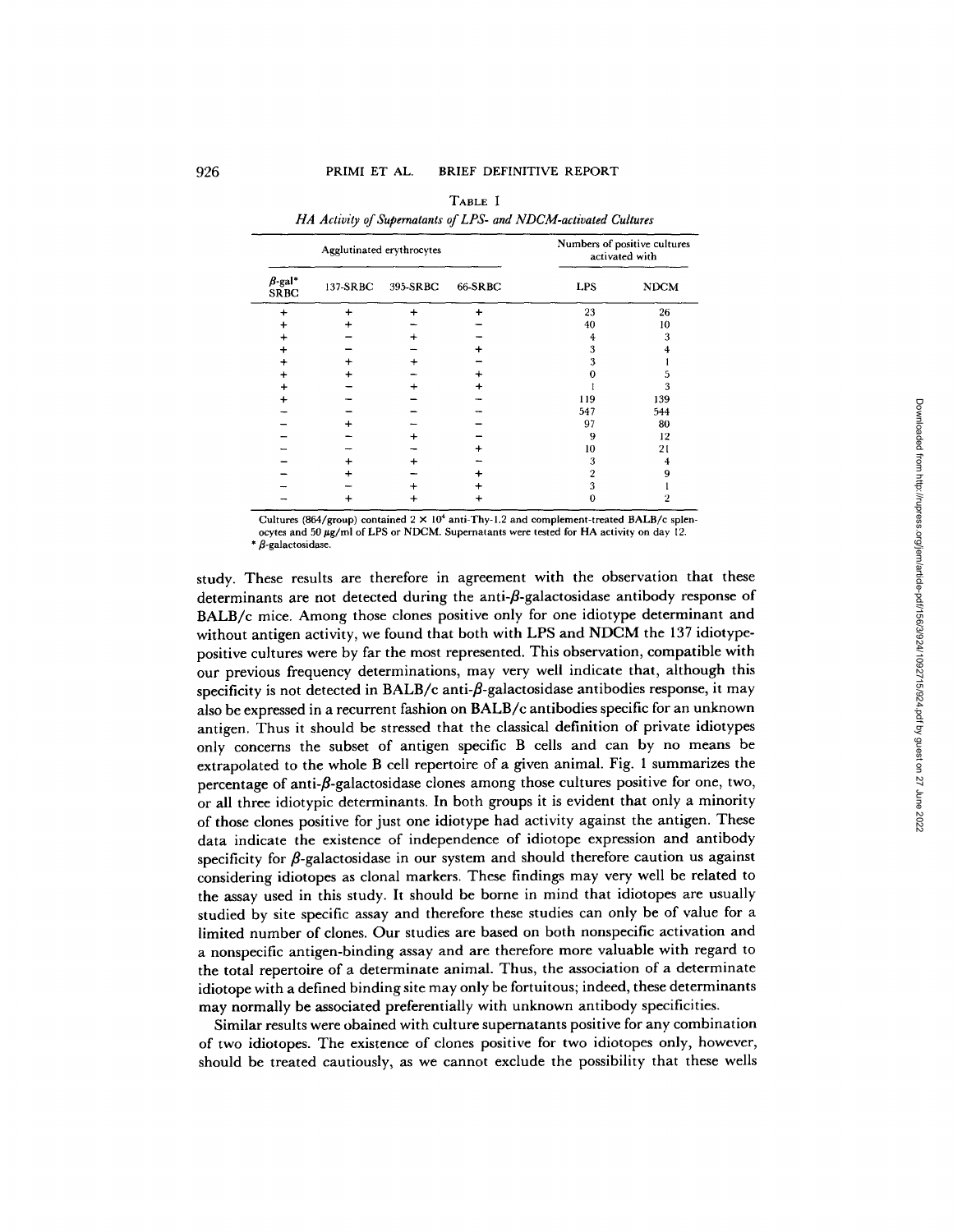# 926 PRIMI ET AL. BRIEF DEFINITIVE REPORT

| Agglutinated erythrocytes    |          |          |         | Numbers of positive cultures<br>activated with |             |
|------------------------------|----------|----------|---------|------------------------------------------------|-------------|
| $\beta$ -gal*<br><b>SRBC</b> | 137-SRBC | 395-SRBC | 66-SRBC | <b>LPS</b>                                     | <b>NDCM</b> |
|                              |          |          |         | 23                                             | 26          |
|                              |          |          |         | 40                                             | 10          |
|                              |          |          |         |                                                | 3           |
|                              |          |          |         | 3                                              |             |
|                              |          |          |         | 3                                              |             |
|                              |          |          |         |                                                |             |
|                              |          |          |         |                                                | 3           |
|                              |          |          |         | 119                                            | 139         |
|                              |          |          |         | 547                                            | 544         |
|                              |          |          |         | 97                                             | 80          |
|                              |          |          |         | 9                                              | 12          |
|                              |          |          |         | 10                                             | 21          |
|                              |          |          |         | 3                                              |             |
|                              |          |          |         | 2                                              |             |
|                              |          |          |         | 3                                              |             |
|                              |          |          |         |                                                |             |

TABLE **<sup>I</sup>** *HA Activity of Supernatants of LPS- and NDCM-activated Cultures* 

Cultures (864/group) contained  $2 \times 10^4$  anti-Thy-1.2 and complement-treated BALB/c splenocytes and 50 µg/ml of LPS or NDCM. Supernatants were tested for HA activity on day 12.  $*$   $\beta$ -galactosidase.

study. These results are therefore in agreement with the observation that these determinants are not detected during the anti- $\beta$ -galactosidase antibody response of BALB/c mice. Among those clones positive only for one idiotype determinant and without antigen activity, we found that both with LPS and NDCM the 137 idiotypepositive cultures were by far the most represented. This observation, compatible with our previous frequency determinations, may very well indicate that, although this specificity is not detected in BALB/c anti- $\beta$ -galactosidase antibodies response, it may also be expressed in a recurrent fashion on BALB/c antibodies specific for an unknown antigen. Thus it should be stressed that the classical definition of private idiotypes only concerns the subset of antigen specific B cells and can by no means be extrapolated to the whole B cell repertoire of a given animal. Fig. 1 summarizes the percentage of anti- $\beta$ -galactosidase clones among those cultures positive for one, two, or all three idiotypic determinants. In both groups it is evident that only a minority of those clones positive for just one idiotype had activity against the antigen. These data indicate the existence of independence of idiotope expression and antibody specificity for  $\beta$ -galactosidase in our system and should therefore caution us against considering idiotopes as clonal markers. These findings may very well be related to the assay used in this study. It should be borne in mind that idiotopes are usually studied by site specific assay and therefore these studies can only be of value for a limited number of clones. Our studies are based on both nonspecific activation and a nonspecific antigen-binding assay and are therefore more valuable with regard to the total repertoire of a determinate animal. Thus, the association of a determinate idiotope with a defined binding site may only be fortuitous; indeed, these determinants may normally be associated preferentially with unknown antibody specificities.

Similar results were obained with culture supernatants positive for any combination of two idiotopes. The existence of clones positive for two idiotopes only, however, should be treated cautiously, as we cannot exclude the possibility that these wells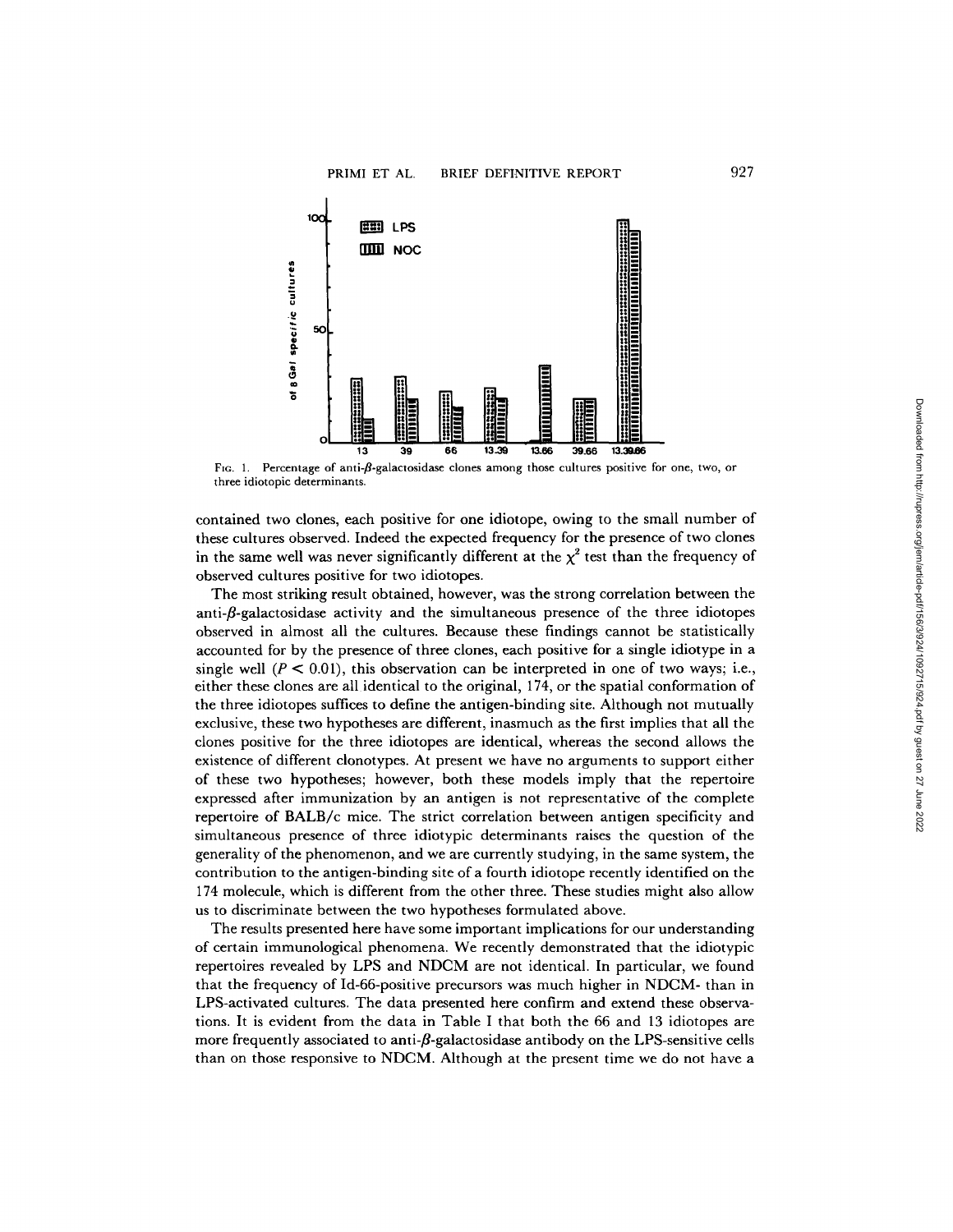

Fig. 1. Percentage of anti- $\beta$ -galactosidase clones among those cultures positive for one, two, or three idiotopic determinants.

contained two clones, each positive for one idiotope, owing to the small number of these cultures observed. Indeed the expected frequency for the presence of two clones in the same well was never significantly different at the  $\chi^2$  test than the frequency of observed cultures positive for two idiotopes.

The most striking result obtained, however, was the strong correlation between the anti- $\beta$ -galactosidase activity and the simultaneous presence of the three idiotopes observed in almost all the cultures. Because these findings cannot be statistically accounted for by the presence of three clones, each positive for a single idiotype in a single well  $(P < 0.01)$ , this observation can be interpreted in one of two ways; i.e., either these clones are all identical to the original, 174, or the spatial conformation of the three idiotopes suffices to define the antigen-binding site. Although not mutually exclusive, these two hypotheses are different, inasmuch as the first implies that all the clones positive for the three idiotopes are identical, whereas the second allows the existence of different clonotypes. At present we have no arguments to support either of these two hypotheses; however, both these models imply that the repertoire expressed after immunization by an antigen is not representative of the complete repertoire of BALB/c mice. The strict correlation between antigen specificity and simultaneous presence of three idiotypic determinants raises the question of the generality of the phenomenon, and we are currently studying, in the same system, the contribution to the antigen-binding site of a fourth idiotope recently identified on the 174 molecule, which is different from the other three. These studies might also allow us to discriminate between the two hypotheses formulated above.

The results presented here have some important implications for our understanding of certain immunological phenomena. We recently demonstrated that the idiotypic repertoires revealed by LPS and NDCM are not identical. In particular, we found that the frequency of Id-66-positive precursors was much higher in NDCM- than in LPS-activated cultures. The data presented here confirm and extend these observations. It is evident from the data in Table I that both the 66 and 13 idiotopes are more frequently associated to anti- $\beta$ -galactosidase antibody on the LPS-sensitive cells than on those responsive to NDCM. Although at the present time we do not have a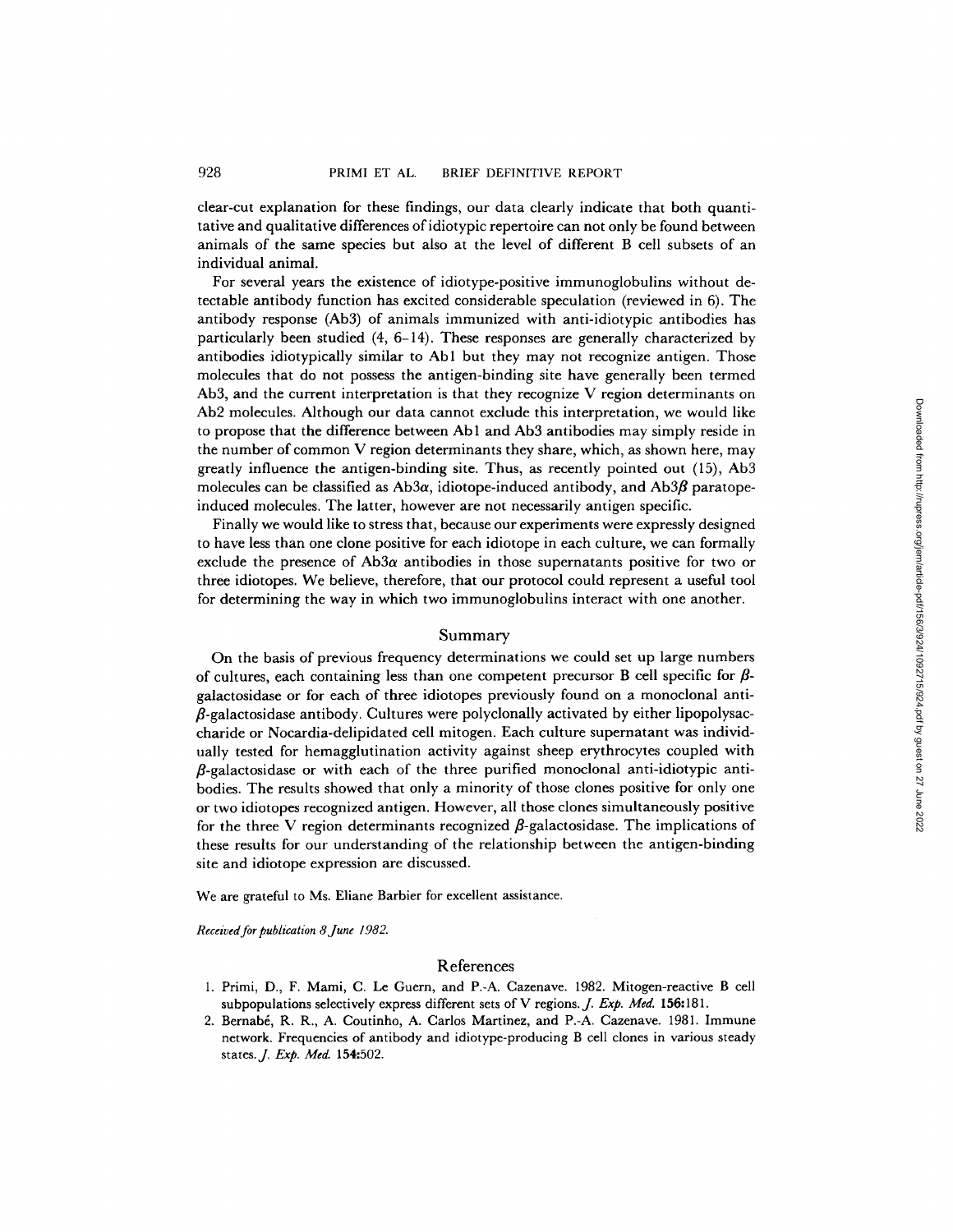clear-cut explanation for these findings, our data clearly indicate that both quantitative and qualitative differences of idiotypic repertoire can not only be found between animals of the same species but also at the level of different B cell subsets of an individual animal.

For several years the existence of idiotype-positive immunoglobulins without detectable antibody function has excited considerable speculation (reviewed in 6). The antibody response (Ab3) of animals immunized with anti-idiotypic antibodies has particularly been studied (4, 6-14). These responses are generally characterized by antibodies idiotypically similar to Abl but they may not recognize antigen. Those molecules that do not possess the antigen-binding site have generally been termed Ab3, and the current interpretation is that they recognize V region determinants on Ab2 molecules. Although our data cannot exclude this interpretation, we would like to propose that the difference between Ab1 and Ab3 antibodies may simply reside in the number of common V region determinants they share, which, as shown here, may greatly influence the antigen-binding site. Thus, as recently pointed out (15), Ab3 molecules can be classified as  $Ab3\alpha$ , idiotope-induced antibody, and  $Ab3\beta$  paratopeinduced molecules. The latter, however are not necessarily antigen specific.

Finally we would like to stress that, because our experiments were expressly designed to have less than one clone positive for each idiotope in each culture, we can formally exclude the presence of Ab3 $\alpha$  antibodies in those supernatants positive for two or three idiotopes. We believe, therefore, that our protocol could represent a useful tool for determining the way in which two immunoglobulins interact with one another.

## Summary

On the basis of previous frequency determinations we could set up large numbers of cultures, each containing less than one competent precursor B cell specific for  $\beta$ galactosidase or for each of three idiotopes previously found on a monoclonal anti-  $\beta$ -galactosidase antibody. Cultures were polyclonally activated by either lipopolysaccharide or Nocardia-delipidated cell mitogen. Each culture supernatant was individually tested for hemagglutination activity against sheep erythrocytes coupled with  $\beta$ -galactosidase or with each of the three purified monoclonal anti-idiotypic antibodies. The results showed that only a minority of those clones positive for only one or two idiotopes recognized antigen. However, all those clones simultaneously positive for the three V region determinants recognized  $\beta$ -galactosidase. The implications of these results for our understanding of the relationship between the antigen-binding site and idiotope expression are discussed.

We are grateful to Ms. Eliane Barbier for excellent assistance.

*Received for publication 8June 1982.* 

## References

- 1. Primi, D., F. Mami, C. Le Guern, and P.-A. Cazenave. 1982. Mitogen-reactive B cell subpopulations selectively express different sets of V regions. J. *Exp. Med.* 156:181.
- 2. Bernabé, R. R., A. Coutinho, A. Carlos Martinez, and P.-A. Cazenave. 1981. Immune network. Frequencies of antibody and idiotype-producing B cell clones in various steady states.J. *Exp. Med.* 154:502.